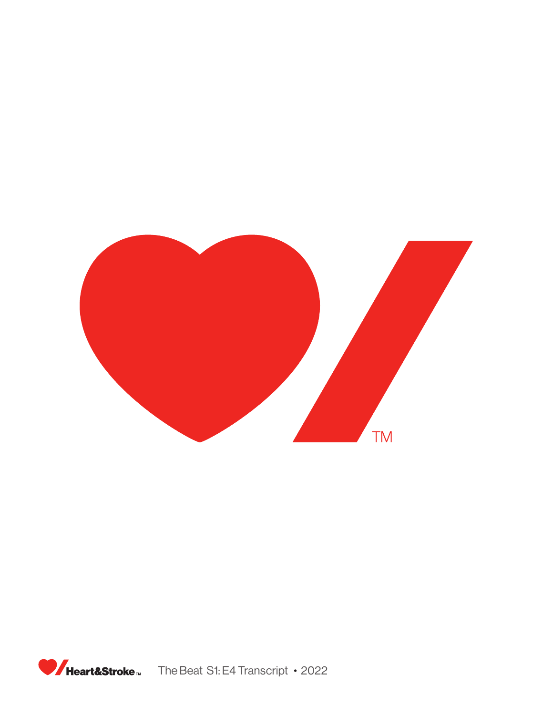

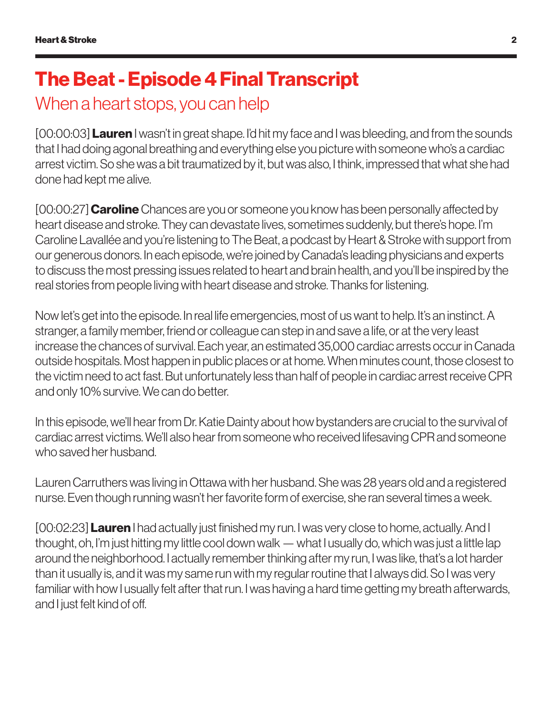## The Beat - Episode 4 Final Transcript

## When a heart stops, you can help

[00:00:03] **Lauren** I wasn't in great shape. I'd hit my face and I was bleeding, and from the sounds that I had doing agonal breathing and everything else you picture with someone who's a cardiac arrest victim. So she was a bit traumatized by it, but was also, I think, impressed that what she had done had kept me alive.

[00:00:27] **Caroline** Chances are you or someone you know has been personally affected by heart disease and stroke. They can devastate lives, sometimes suddenly, but there's hope. I'm Caroline Lavallée and you're listening to The Beat, a podcast by Heart & Stroke with support from our generous donors. In each episode, we're joined by Canada's leading physicians and experts to discuss the most pressing issues related to heart and brain health, and you'll be inspired by the real stories from people living with heart disease and stroke. Thanks for listening.

Now let's get into the episode. In real life emergencies, most of us want to help. It's an instinct. A stranger, a family member, friend or colleague can step in and save a life, or at the very least increase the chances of survival. Each year, an estimated 35,000 cardiac arrests occur in Canada outside hospitals. Most happen in public places or at home. When minutes count, those closest to the victim need to act fast. But unfortunately less than half of people in cardiac arrest receive CPR and only 10% survive. We can do better.

In this episode, we'll hear from Dr. Katie Dainty about how bystanders are crucial to the survival of cardiac arrest victims. We'll also hear from someone who received lifesaving CPR and someone who saved her husband.

Lauren Carruthers was living in Ottawa with her husband. She was 28 years old and a registered nurse. Even though running wasn't her favorite form of exercise, she ran several times a week.

[00:02:23] **Lauren** I had actually just finished my run. I was very close to home, actually. And I thought, oh, I'm just hitting my little cool down walk — what I usually do, which was just a little lap around the neighborhood. I actually remember thinking after my run, I was like, that's a lot harder than it usually is, and it was my same run with my regular routine that I always did. So I was very familiar with how I usually felt after that run. I was having a hard time getting my breath afterwards, and I just felt kind of off.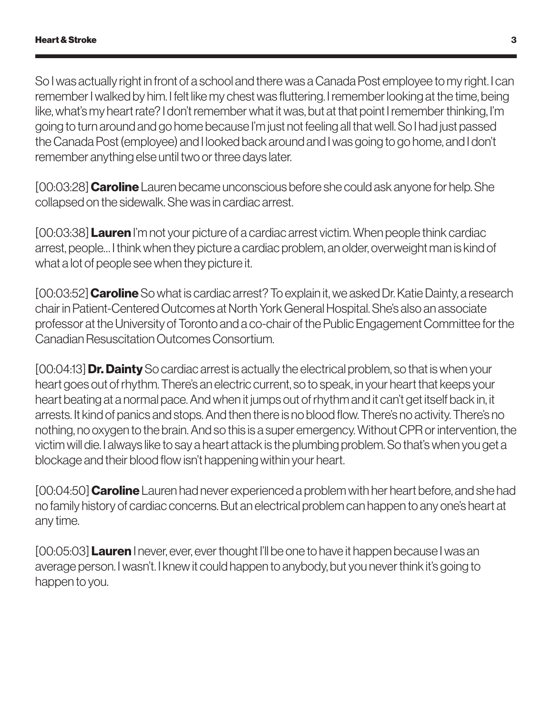So I was actually right in front of a school and there was a Canada Post employee to my right. I can remember I walked by him. I felt like my chest was fluttering. I remember looking at the time, being like, what's my heart rate? I don't remember what it was, but at that point I remember thinking, I'm going to turn around and go home because I'm just not feeling all that well. So I had just passed the Canada Post (employee) and I looked back around and I was going to go home, and I don't remember anything else until two or three days later.

[00:03:28] **Caroline** Lauren became unconscious before she could ask anyone for help. She collapsed on the sidewalk. She was in cardiac arrest.

[00:03:38] Lauren I'm not your picture of a cardiac arrest victim. When people think cardiac arrest, people… I think when they picture a cardiac problem, an older, overweight man is kind of what a lot of people see when they picture it.

[00:03:52] **Caroline** So what is cardiac arrest? To explain it, we asked Dr. Katie Dainty, a research chair in Patient-Centered Outcomes at North York General Hospital. She's also an associate professor at the University of Toronto and a co-chair of the Public Engagement Committee for the Canadian Resuscitation Outcomes Consortium.

[00:04:13] **Dr. Dainty** So cardiac arrest is actually the electrical problem, so that is when your heart goes out of rhythm. There's an electric current, so to speak, in your heart that keeps your heart beating at a normal pace. And when it jumps out of rhythm and it can't get itself back in, it arrests. It kind of panics and stops. And then there is no blood flow. There's no activity. There's no nothing, no oxygen to the brain. And so this is a super emergency. Without CPR or intervention, the victim will die. I always like to say a heart attack is the plumbing problem. So that's when you get a blockage and their blood flow isn't happening within your heart.

[00:04:50] **Caroline** Lauren had never experienced a problem with her heart before, and she had no family history of cardiac concerns. But an electrical problem can happen to any one's heart at any time.

[00:05:03] **Lauren** I never, ever, ever thought I'll be one to have it happen because I was an average person. I wasn't. I knew it could happen to anybody, but you never think it's going to happen to you.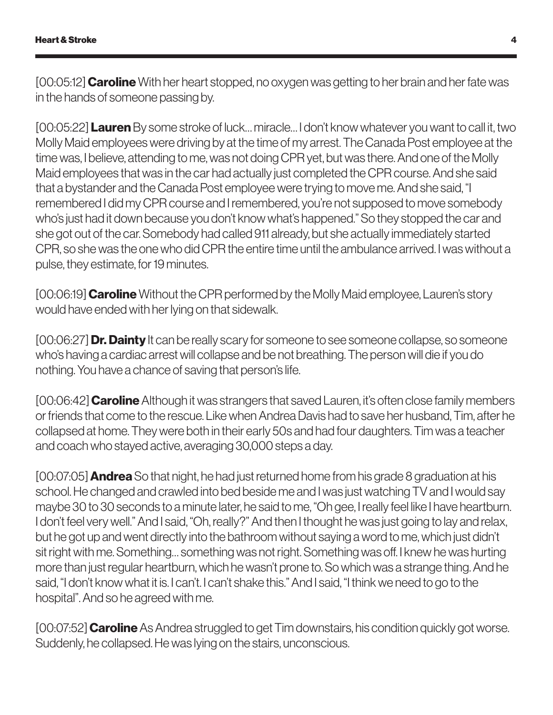[00:05:12] **Caroline** With her heart stopped, no oxygen was getting to her brain and her fate was in the hands of someone passing by.

[00:05:22] Lauren By some stroke of luck… miracle… I don't know whatever you want to call it, two Molly Maid employees were driving by at the time of my arrest. The Canada Post employee at the time was, I believe, attending to me, was not doing CPR yet, but was there. And one of the Molly Maid employees that was in the car had actually just completed the CPR course. And she said that a bystander and the Canada Post employee were trying to move me. And she said, "I remembered I did my CPR course and I remembered, you're not supposed to move somebody who's just had it down because you don't know what's happened." So they stopped the car and she got out of the car. Somebody had called 911 already, but she actually immediately started CPR, so she was the one who did CPR the entire time until the ambulance arrived. I was without a pulse, they estimate, for 19 minutes.

[00:06:19] **Caroline** Without the CPR performed by the Molly Maid employee, Lauren's story would have ended with her lying on that sidewalk.

[00:06:27] **Dr. Dainty** It can be really scary for someone to see someone collapse, so someone who's having a cardiac arrest will collapse and be not breathing. The person will die if you do nothing. You have a chance of saving that person's life.

[00:06:42] **Caroline** Although it was strangers that saved Lauren, it's often close family members or friends that come to the rescue. Like when Andrea Davis had to save her husband, Tim, after he collapsed at home. They were both in their early 50s and had four daughters. Tim was a teacher and coach who stayed active, averaging 30,000 steps a day.

 $[00:07:05]$  **Andrea** So that night, he had just returned home from his grade 8 graduation at his school. He changed and crawled into bed beside me and I was just watching TV and I would say maybe 30 to 30 seconds to a minute later, he said to me, "Oh gee, I really feel like I have heartburn. I don't feel very well." And I said, "Oh, really?" And then I thought he was just going to lay and relax, but he got up and went directly into the bathroom without saying a word to me, which just didn't sit right with me. Something… something was not right. Something was off. I knew he was hurting more than just regular heartburn, which he wasn't prone to. So which was a strange thing. And he said, "I don't know what it is. I can't. I can't shake this." And I said, "I think we need to go to the hospital". And so he agreed with me.

[00:07:52] **Caroline** As Andrea struggled to get Tim downstairs, his condition quickly got worse. Suddenly, he collapsed. He was lying on the stairs, unconscious.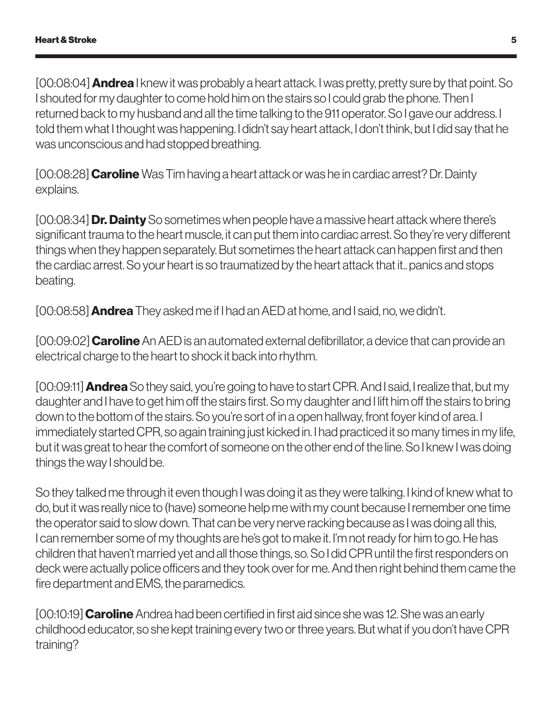[00:08:04] **Andrea** I knew it was probably a heart attack. I was pretty, pretty sure by that point. So I shouted for my daughter to come hold him on the stairs so I could grab the phone. Then I returned back to my husband and all the time talking to the 911 operator. So I gave our address. I told them what I thought was happening. I didn't say heart attack, I don't think, but I did say that he was unconscious and had stopped breathing.

[00:08:28] **Caroline** Was Tim having a heart attack or was he in cardiac arrest? Dr. Dainty explains.

[00:08:34] **Dr. Dainty** So sometimes when people have a massive heart attack where there's significant trauma to the heart muscle, it can put them into cardiac arrest. So they're very different things when they happen separately. But sometimes the heart attack can happen first and then the cardiac arrest. So your heart is so traumatized by the heart attack that it.. panics and stops beating.

[00:08:58] **Andrea** They asked me if I had an AED at home, and I said, no, we didn't.

[00:09:02] **Caroline** An AED is an automated external defibrillator, a device that can provide an electrical charge to the heart to shock it back into rhythm.

[00:09:11] **Andrea** So they said, you're going to have to start CPR. And I said, I realize that, but my daughter and I have to get him off the stairs first. So my daughter and I lift him off the stairs to bring down to the bottom of the stairs. So you're sort of in a open hallway, front foyer kind of area. I immediately started CPR, so again training just kicked in. I had practiced it so many times in my life, but it was great to hear the comfort of someone on the other end of the line. So I knew I was doing things the way I should be.

So they talked me through it even though I was doing it as they were talking. I kind of knew what to do, but it was really nice to (have) someone help me with my count because I remember one time the operator said to slow down. That can be very nerve racking because as I was doing all this, I can remember some of my thoughts are he's got to make it. I'm not ready for him to go. He has children that haven't married yet and all those things, so. So I did CPR until the first responders on deck were actually police officers and they took over for me. And then right behind them came the fire department and EMS, the paramedics.

[00:10:19] **Caroline** Andrea had been certified in first aid since she was 12. She was an early childhood educator, so she kept training every two or three years. But what if you don't have CPR training?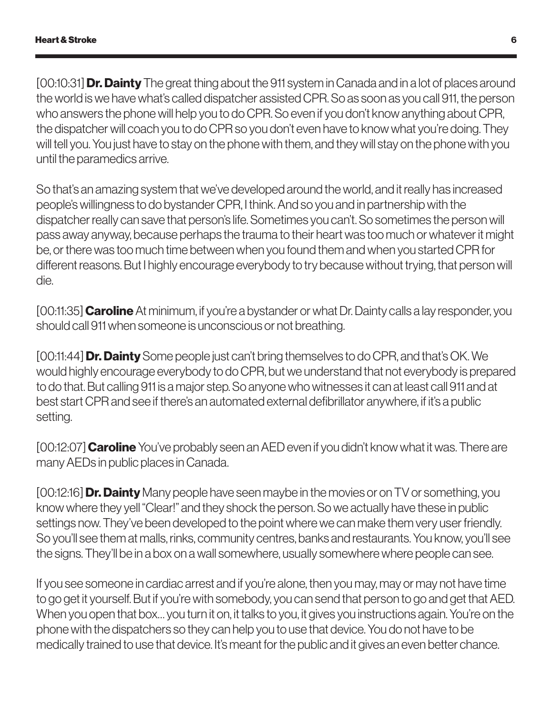[00:10:31] **Dr. Dainty** The great thing about the 911 system in Canada and in a lot of places around the world is we have what's called dispatcher assisted CPR. So as soon as you call 911, the person who answers the phone will help you to do CPR. So even if you don't know anything about CPR, the dispatcher will coach you to do CPR so you don't even have to know what you're doing. They will tell you. You just have to stay on the phone with them, and they will stay on the phone with you until the paramedics arrive.

So that's an amazing system that we've developed around the world, and it really has increased people's willingness to do bystander CPR, I think. And so you and in partnership with the dispatcher really can save that person's life. Sometimes you can't. So sometimes the person will pass away anyway, because perhaps the trauma to their heart was too much or whatever it might be, or there was too much time between when you found them and when you started CPR for different reasons. But I highly encourage everybody to try because without trying, that person will die.

[00:11:35] **Caroline** At minimum, if you're a bystander or what Dr. Dainty calls a lay responder, you should call 911 when someone is unconscious or not breathing.

[00:11:44] **Dr. Dainty** Some people just can't bring themselves to do CPR, and that's OK. We would highly encourage everybody to do CPR, but we understand that not everybody is prepared to do that. But calling 911 is a major step. So anyone who witnesses it can at least call 911 and at best start CPR and see if there's an automated external defibrillator anywhere, if it's a public setting.

[00:12:07] **Caroline** You've probably seen an AED even if you didn't know what it was. There are many AEDs in public places in Canada.

[00:12:16] **Dr. Dainty** Many people have seen maybe in the movies or on TV or something, you know where they yell "Clear!" and they shock the person. So we actually have these in public settings now. They've been developed to the point where we can make them very user friendly. So you'll see them at malls, rinks, community centres, banks and restaurants. You know, you'll see the signs. They'll be in a box on a wall somewhere, usually somewhere where people can see.

If you see someone in cardiac arrest and if you're alone, then you may, may or may not have time to go get it yourself. But if you're with somebody, you can send that person to go and get that AED. When you open that box… you turn it on, it talks to you, it gives you instructions again. You're on the phone with the dispatchers so they can help you to use that device. You do not have to be medically trained to use that device. It's meant for the public and it gives an even better chance.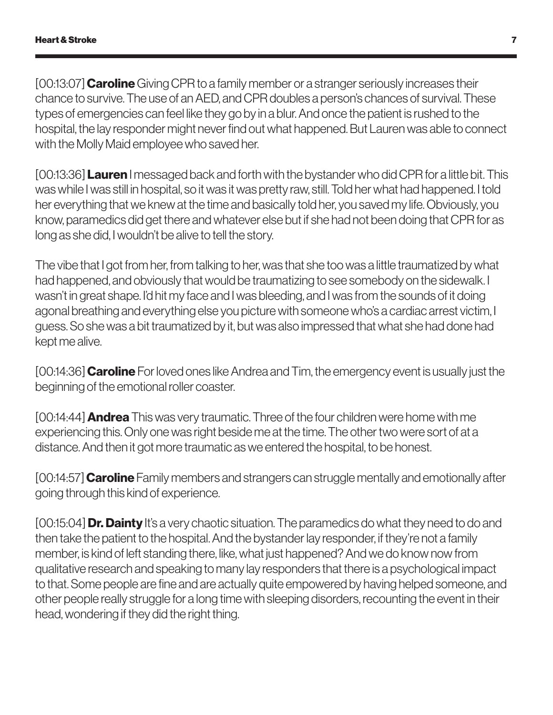[00:13:07] Caroline Giving CPR to a family member or a stranger seriously increases their chance to survive. The use of an AED, and CPR doubles a person's chances of survival. These types of emergencies can feel like they go by in a blur. And once the patient is rushed to the hospital, the lay responder might never find out what happened. But Lauren was able to connect with the Molly Maid employee who saved her.

[00:13:36] **Lauren** I messaged back and forth with the bystander who did CPR for a little bit. This was while I was still in hospital, so it was it was pretty raw, still. Told her what had happened. I told her everything that we knew at the time and basically told her, you saved my life. Obviously, you know, paramedics did get there and whatever else but if she had not been doing that CPR for as long as she did, I wouldn't be alive to tell the story.

The vibe that I got from her, from talking to her, was that she too was a little traumatized by what had happened, and obviously that would be traumatizing to see somebody on the sidewalk. I wasn't in great shape. I'd hit my face and I was bleeding, and I was from the sounds of it doing agonal breathing and everything else you picture with someone who's a cardiac arrest victim, I guess. So she was a bit traumatized by it, but was also impressed that what she had done had kept me alive.

[00:14:36] **Caroline** For loved ones like Andrea and Tim, the emergency event is usually just the beginning of the emotional roller coaster.

[00:14:44] **Andrea** This was very traumatic. Three of the four children were home with me experiencing this. Only one was right beside me at the time. The other two were sort of at a distance. And then it got more traumatic as we entered the hospital, to be honest.

[00:14:57] **Caroline** Family members and strangers can struggle mentally and emotionally after going through this kind of experience.

 $[00:15:04]$  **Dr. Dainty** It's a very chaotic situation. The paramedics do what they need to do and then take the patient to the hospital. And the bystander lay responder, if they're not a family member, is kind of left standing there, like, what just happened? And we do know now from qualitative research and speaking to many lay responders that there is a psychological impact to that. Some people are fine and are actually quite empowered by having helped someone, and other people really struggle for a long time with sleeping disorders, recounting the event in their head, wondering if they did the right thing.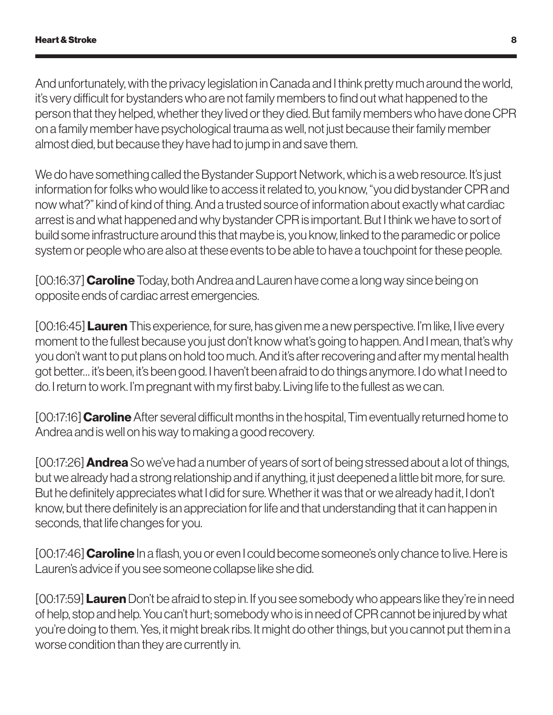And unfortunately, with the privacy legislation in Canada and I think pretty much around the world, it's very difficult for bystanders who are not family members to find out what happened to the person that they helped, whether they lived or they died. But family members who have done CPR on a family member have psychological trauma as well, not just because their family member almost died, but because they have had to jump in and save them.

We do have something called the Bystander Support Network, which is a web resource. It's just information for folks who would like to access it related to, you know, "you did bystander CPR and now what?" kind of kind of thing. And a trusted source of information about exactly what cardiac arrest is and what happened and why bystander CPR is important. But I think we have to sort of build some infrastructure around this that maybe is, you know, linked to the paramedic or police system or people who are also at these events to be able to have a touchpoint for these people.

[00:16:37] **Caroline** Today, both Andrea and Lauren have come a long way since being on opposite ends of cardiac arrest emergencies.

[00:16:45] **Lauren** This experience, for sure, has given me a new perspective. I'm like, I live every moment to the fullest because you just don't know what's going to happen. And I mean, that's why you don't want to put plans on hold too much. And it's after recovering and after my mental health got better… it's been, it's been good. I haven't been afraid to do things anymore. I do what I need to do. I return to work. I'm pregnant with my first baby. Living life to the fullest as we can.

[00:17:16] **Caroline** After several difficult months in the hospital, Tim eventually returned home to Andrea and is well on his way to making a good recovery.

[00:17:26] **Andrea** So we've had a number of years of sort of being stressed about a lot of things, but we already had a strong relationship and if anything, it just deepened a little bit more, for sure. But he definitely appreciates what I did for sure. Whether it was that or we already had it, I don't know, but there definitely is an appreciation for life and that understanding that it can happen in seconds, that life changes for you.

[00:17:46] **Caroline** In a flash, you or even I could become someone's only chance to live. Here is Lauren's advice if you see someone collapse like she did.

[00:17:59] **Lauren** Don't be afraid to step in. If you see somebody who appears like they're in need of help, stop and help. You can't hurt; somebody who is in need of CPR cannot be injured by what you're doing to them. Yes, it might break ribs. It might do other things, but you cannot put them in a worse condition than they are currently in.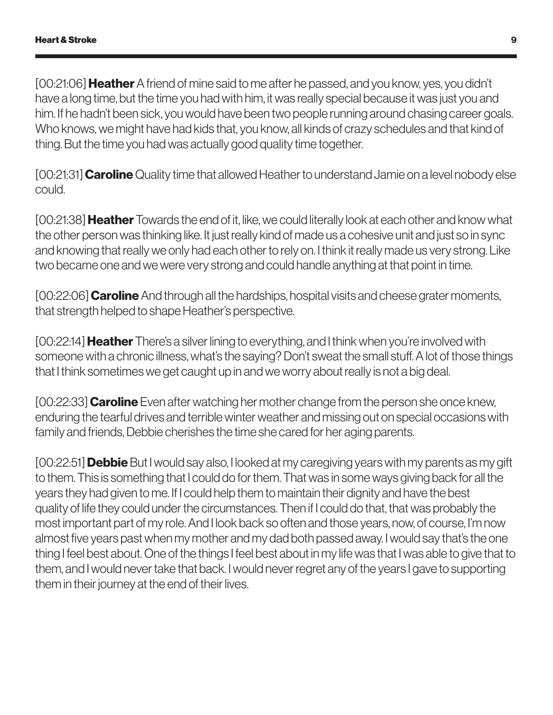[00:21:06] **Heather** A friend of mine said to me after he passed, and you know, yes, you didn't have a long time, but the time you had with him, it was really special because it was just you and him. If he hadn't been sick, you would have been two people running around chasing career goals. Who knows, we might have had kids that, you know, all kinds of crazy schedules and that kind of thing. But the time you had was actually good quality time together.

[00:21:31] **Caroline** Quality time that allowed Heather to understand Jamie on a level nobody else could.

[00:21:38] **Heather** Towards the end of it, like, we could literally look at each other and know what the other person was thinking like. It just really kind of made us a cohesive unit and just so in sync and knowing that really we only had each other to rely on. I think it really made us very strong. Like two became one and we were very strong and could handle anything at that point in time.

[00:22:06] **Caroline** And through all the hardships, hospital visits and cheese grater moments, that strength helped to shape Heather's perspective.

[00:22:14] **Heather** There's a silver lining to everything, and I think when you're involved with someone with a chronic illness, what's the saying? Don't sweat the small stuff. A lot of those things that I think sometimes we get caught up in and we worry about really is not a big deal.

[00:22:33] **Caroline** Even after watching her mother change from the person she once knew, enduring the tearful drives and terrible winter weather and missing out on special occasions with family and friends, Debbie cherishes the time she cared for her aging parents.

[00:22:51] **Debbie** But I would say also, I looked at my caregiving years with my parents as my gift to them. This is something that I could do for them. That was in some ways giving back for all the years they had given to me. If I could help them to maintain their dignity and have the best quality of life they could under the circumstances. Then if I could do that, that was probably the most important part of my role. And I look back so often and those years, now, of course, I'm now almost five years past when my mother and my dad both passed away. I would say that's the one thing I feel best about. One of the things I feel best about in my life was that I was able to give that to them, and I would never take that back. I would never regret any of the years I gave to supporting them in their journey at the end of their lives.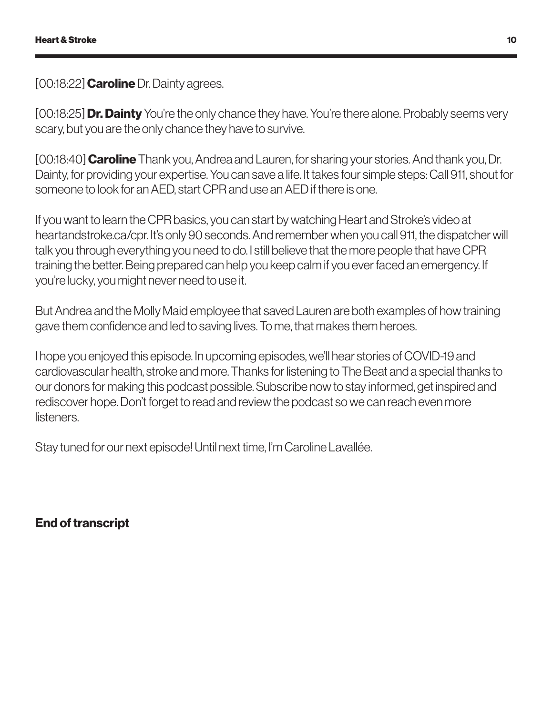[00:18:22] **Caroline** Dr. Dainty agrees.

[00:18:25] **Dr. Dainty** You're the only chance they have. You're there alone. Probably seems very scary, but you are the only chance they have to survive.

[00:18:40] **Caroline** Thank you, Andrea and Lauren, for sharing your stories. And thank you, Dr. Dainty, for providing your expertise. You can save a life. It takes four simple steps: Call 911, shout for someone to look for an AED, start CPR and use an AED if there is one.

If you want to learn the CPR basics, you can start by watching Heart and Stroke's video at heartandstroke.ca/cpr. It's only 90 seconds. And remember when you call 911, the dispatcher will talk you through everything you need to do. I still believe that the more people that have CPR training the better. Being prepared can help you keep calm if you ever faced an emergency. If you're lucky, you might never need to use it.

But Andrea and the Molly Maid employee that saved Lauren are both examples of how training gave them confidence and led to saving lives. To me, that makes them heroes.

I hope you enjoyed this episode. In upcoming episodes, we'll hear stories of COVID-19 and cardiovascular health, stroke and more. Thanks for listening to The Beat and a special thanks to our donors for making this podcast possible. Subscribe now to stay informed, get inspired and rediscover hope. Don't forget to read and review the podcast so we can reach even more listeners.

Stay tuned for our next episode! Until next time, I'm Caroline Lavallée.

End of transcript